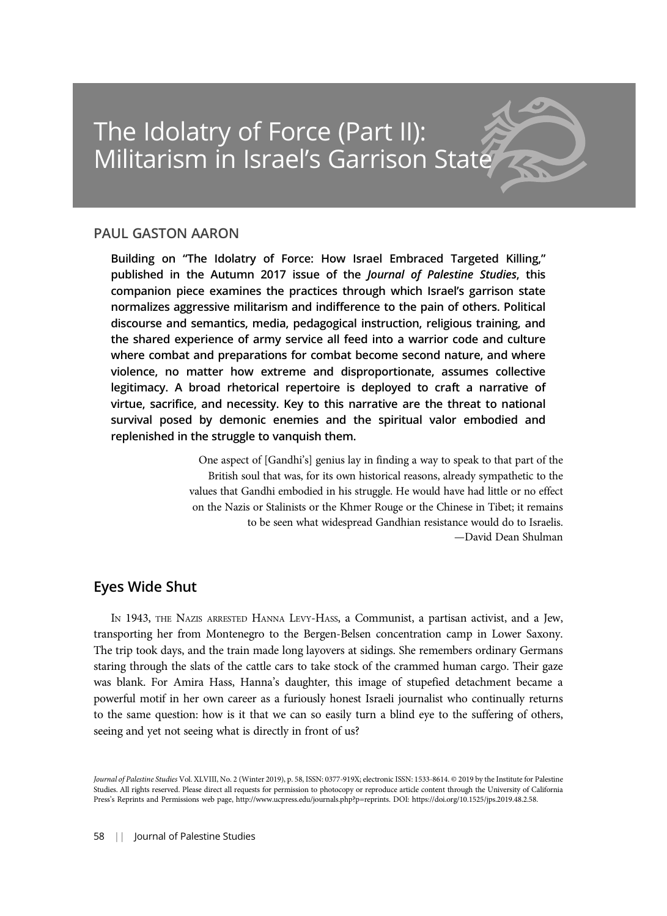## PAUL GASTON AARON

Building on "The Idolatry of Force: How Israel Embraced Targeted Killing," published in the Autumn 2017 issue of the Journal of Palestine Studies, this companion piece examines the practices through which Israel's garrison state normalizes aggressive militarism and indifference to the pain of others. Political discourse and semantics, media, pedagogical instruction, religious training, and the shared experience of army service all feed into a warrior code and culture where combat and preparations for combat become second nature, and where violence, no matter how extreme and disproportionate, assumes collective legitimacy. A broad rhetorical repertoire is deployed to craft a narrative of virtue, sacrifice, and necessity. Key to this narrative are the threat to national survival posed by demonic enemies and the spiritual valor embodied and replenished in the struggle to vanquish them.

> One aspect of [Gandhi's] genius lay in finding a way to speak to that part of the British soul that was, for its own historical reasons, already sympathetic to the values that Gandhi embodied in his struggle. He would have had little or no effect on the Nazis or Stalinists or the Khmer Rouge or the Chinese in Tibet; it remains to be seen what widespread Gandhian resistance would do to Israelis. —David Dean Shulman

# Eyes Wide Shut

IN 1943, THE NAZIS ARRESTED HANNA LEVY-HASS, a Communist, a partisan activist, and a Jew, transporting her from Montenegro to the Bergen-Belsen concentration camp in Lower Saxony. The trip took days, and the train made long layovers at sidings. She remembers ordinary Germans staring through the slats of the cattle cars to take stock of the crammed human cargo. Their gaze was blank. For Amira Hass, Hanna's daughter, this image of stupefied detachment became a powerful motif in her own career as a furiously honest Israeli journalist who continually returns to the same question: how is it that we can so easily turn a blind eye to the suffering of others, seeing and yet not seeing what is directly in front of us?

Journal of Palestine Studies Vol. XLVIII, No. 2 (Winter 2019), p. 58, ISSN: 0377-919X; electronic ISSN: 1533-8614. © 2019 by the Institute for Palestine Studies. All rights reserved. Please direct all requests for permission to photocopy or reproduce article content through the University of California Press's Reprints and Permissions web page, http://www.ucpress.edu/journals.php?p=reprints. DOI: https://doi.org/10.1525/jps.2019.48.2.58.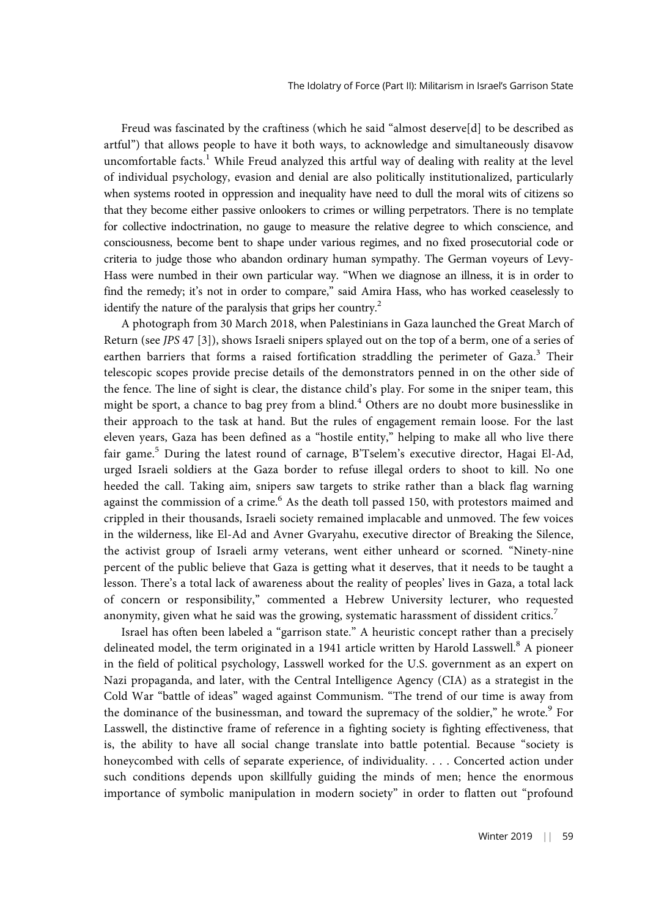Freud was fascinated by the craftiness (which he said "almost deserve[d] to be described as artful") that allows people to have it both ways, to acknowledge and simultaneously disavow uncomfortable facts.<sup>1</sup> While Freud analyzed this artful way of dealing with reality at the level of individual psychology, evasion and denial are also politically institutionalized, particularly when systems rooted in oppression and inequality have need to dull the moral wits of citizens so that they become either passive onlookers to crimes or willing perpetrators. There is no template for collective indoctrination, no gauge to measure the relative degree to which conscience, and consciousness, become bent to shape under various regimes, and no fixed prosecutorial code or criteria to judge those who abandon ordinary human sympathy. The German voyeurs of Levy-Hass were numbed in their own particular way. "When we diagnose an illness, it is in order to find the remedy; it's not in order to compare," said Amira Hass, who has worked ceaselessly to identify the nature of the paralysis that grips her country.<sup>2</sup>

A photograph from 30 March 2018, when Palestinians in Gaza launched the Great March of Return (see JPS 47 [3]), shows Israeli snipers splayed out on the top of a berm, one of a series of earthen barriers that forms a raised fortification straddling the perimeter of Gaza.<sup>3</sup> Their telescopic scopes provide precise details of the demonstrators penned in on the other side of the fence. The line of sight is clear, the distance child's play. For some in the sniper team, this might be sport, a chance to bag prey from a blind.<sup>4</sup> Others are no doubt more businesslike in their approach to the task at hand. But the rules of engagement remain loose. For the last eleven years, Gaza has been defined as a "hostile entity," helping to make all who live there fair game.<sup>5</sup> During the latest round of carnage, B'Tselem's executive director, Hagai El-Ad, urged Israeli soldiers at the Gaza border to refuse illegal orders to shoot to kill. No one heeded the call. Taking aim, snipers saw targets to strike rather than a black flag warning against the commission of a crime.<sup>6</sup> As the death toll passed 150, with protestors maimed and crippled in their thousands, Israeli society remained implacable and unmoved. The few voices in the wilderness, like El-Ad and Avner Gvaryahu, executive director of Breaking the Silence, the activist group of Israeli army veterans, went either unheard or scorned. "Ninety-nine percent of the public believe that Gaza is getting what it deserves, that it needs to be taught a lesson. There's a total lack of awareness about the reality of peoples' lives in Gaza, a total lack of concern or responsibility," commented a Hebrew University lecturer, who requested anonymity, given what he said was the growing, systematic harassment of dissident critics.<sup>7</sup>

Israel has often been labeled a "garrison state." A heuristic concept rather than a precisely delineated model, the term originated in a 1941 article written by Harold Lasswell.<sup>8</sup> A pioneer in the field of political psychology, Lasswell worked for the U.S. government as an expert on Nazi propaganda, and later, with the Central Intelligence Agency (CIA) as a strategist in the Cold War "battle of ideas" waged against Communism. "The trend of our time is away from the dominance of the businessman, and toward the supremacy of the soldier," he wrote.<sup>9</sup> For Lasswell, the distinctive frame of reference in a fighting society is fighting effectiveness, that is, the ability to have all social change translate into battle potential. Because "society is honeycombed with cells of separate experience, of individuality. . . . Concerted action under such conditions depends upon skillfully guiding the minds of men; hence the enormous importance of symbolic manipulation in modern society" in order to flatten out "profound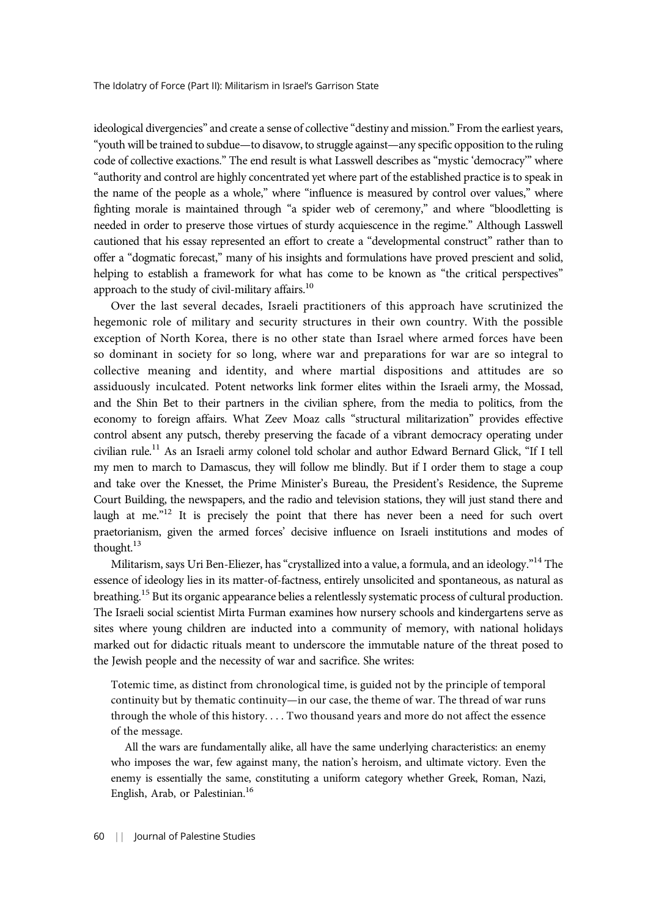ideological divergencies" and create a sense of collective "destiny and mission." From the earliest years, "youth will be trained to subdue—to disavow, to struggle against—any specific opposition to the ruling code of collective exactions." The end result is what Lasswell describes as "mystic 'democracy'" where "authority and control are highly concentrated yet where part of the established practice is to speak in the name of the people as a whole," where "influence is measured by control over values," where fighting morale is maintained through "a spider web of ceremony," and where "bloodletting is needed in order to preserve those virtues of sturdy acquiescence in the regime." Although Lasswell cautioned that his essay represented an effort to create a "developmental construct" rather than to offer a "dogmatic forecast," many of his insights and formulations have proved prescient and solid, helping to establish a framework for what has come to be known as "the critical perspectives" approach to the study of civil-military affairs.<sup>10</sup>

Over the last several decades, Israeli practitioners of this approach have scrutinized the hegemonic role of military and security structures in their own country. With the possible exception of North Korea, there is no other state than Israel where armed forces have been so dominant in society for so long, where war and preparations for war are so integral to collective meaning and identity, and where martial dispositions and attitudes are so assiduously inculcated. Potent networks link former elites within the Israeli army, the Mossad, and the Shin Bet to their partners in the civilian sphere, from the media to politics, from the economy to foreign affairs. What Zeev Moaz calls "structural militarization" provides effective control absent any putsch, thereby preserving the facade of a vibrant democracy operating under civilian rule.<sup>11</sup> As an Israeli army colonel told scholar and author Edward Bernard Glick, "If I tell my men to march to Damascus, they will follow me blindly. But if I order them to stage a coup and take over the Knesset, the Prime Minister's Bureau, the President's Residence, the Supreme Court Building, the newspapers, and the radio and television stations, they will just stand there and laugh at me."<sup>12</sup> It is precisely the point that there has never been a need for such overt praetorianism, given the armed forces' decisive influence on Israeli institutions and modes of thought.<sup>13</sup>

Militarism, says Uri Ben-Eliezer, has "crystallized into a value, a formula, and an ideology." <sup>14</sup> The essence of ideology lies in its matter-of-factness, entirely unsolicited and spontaneous, as natural as breathing.<sup>15</sup> But its organic appearance belies a relentlessly systematic process of cultural production. The Israeli social scientist Mirta Furman examines how nursery schools and kindergartens serve as sites where young children are inducted into a community of memory, with national holidays marked out for didactic rituals meant to underscore the immutable nature of the threat posed to the Jewish people and the necessity of war and sacrifice. She writes:

Totemic time, as distinct from chronological time, is guided not by the principle of temporal continuity but by thematic continuity—in our case, the theme of war. The thread of war runs through the whole of this history. . . . Two thousand years and more do not affect the essence of the message.

All the wars are fundamentally alike, all have the same underlying characteristics: an enemy who imposes the war, few against many, the nation's heroism, and ultimate victory. Even the enemy is essentially the same, constituting a uniform category whether Greek, Roman, Nazi, English, Arab, or Palestinian.<sup>16</sup>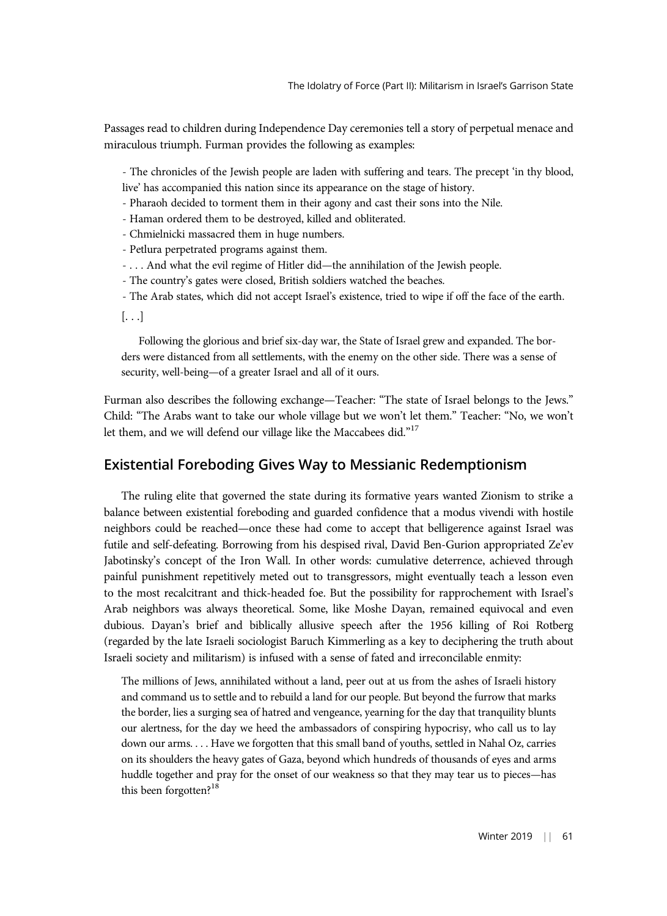Passages read to children during Independence Day ceremonies tell a story of perpetual menace and miraculous triumph. Furman provides the following as examples:

- The chronicles of the Jewish people are laden with suffering and tears. The precept 'in thy blood, live' has accompanied this nation since its appearance on the stage of history.

- Pharaoh decided to torment them in their agony and cast their sons into the Nile.
- Haman ordered them to be destroyed, killed and obliterated.
- Chmielnicki massacred them in huge numbers.
- Petlura perpetrated programs against them.
- . . . And what the evil regime of Hitler did—the annihilation of the Jewish people.
- The country's gates were closed, British soldiers watched the beaches.
- The Arab states, which did not accept Israel's existence, tried to wipe if off the face of the earth.

 $\left[\ldots\right]$ 

Following the glorious and brief six-day war, the State of Israel grew and expanded. The borders were distanced from all settlements, with the enemy on the other side. There was a sense of security, well-being—of a greater Israel and all of it ours.

Furman also describes the following exchange—Teacher: "The state of Israel belongs to the Jews." Child: "The Arabs want to take our whole village but we won't let them." Teacher: "No, we won't let them, and we will defend our village like the Maccabees did."<sup>17</sup>

## Existential Foreboding Gives Way to Messianic Redemptionism

The ruling elite that governed the state during its formative years wanted Zionism to strike a balance between existential foreboding and guarded confidence that a modus vivendi with hostile neighbors could be reached—once these had come to accept that belligerence against Israel was futile and self-defeating. Borrowing from his despised rival, David Ben-Gurion appropriated Ze'ev Jabotinsky's concept of the Iron Wall. In other words: cumulative deterrence, achieved through painful punishment repetitively meted out to transgressors, might eventually teach a lesson even to the most recalcitrant and thick-headed foe. But the possibility for rapprochement with Israel's Arab neighbors was always theoretical. Some, like Moshe Dayan, remained equivocal and even dubious. Dayan's brief and biblically allusive speech after the 1956 killing of Roi Rotberg (regarded by the late Israeli sociologist Baruch Kimmerling as a key to deciphering the truth about Israeli society and militarism) is infused with a sense of fated and irreconcilable enmity:

The millions of Jews, annihilated without a land, peer out at us from the ashes of Israeli history and command us to settle and to rebuild a land for our people. But beyond the furrow that marks the border, lies a surging sea of hatred and vengeance, yearning for the day that tranquility blunts our alertness, for the day we heed the ambassadors of conspiring hypocrisy, who call us to lay down our arms. . . . Have we forgotten that this small band of youths, settled in Nahal Oz, carries on its shoulders the heavy gates of Gaza, beyond which hundreds of thousands of eyes and arms huddle together and pray for the onset of our weakness so that they may tear us to pieces—has this been forgotten?<sup>18</sup>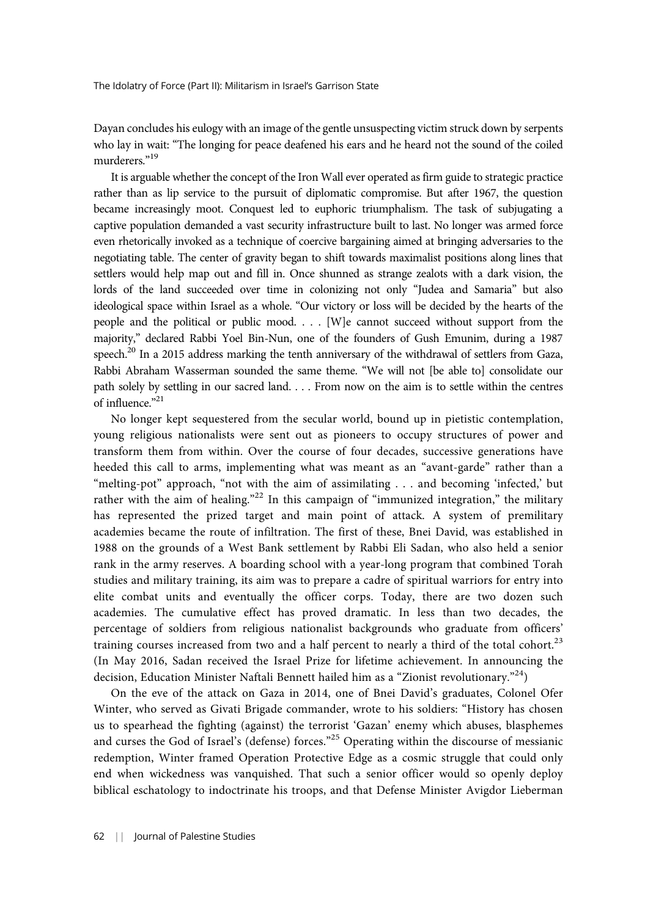Dayan concludes his eulogy with an image of the gentle unsuspecting victim struck down by serpents who lay in wait: "The longing for peace deafened his ears and he heard not the sound of the coiled murderers."<sup>19</sup>

It is arguable whether the concept of the Iron Wall ever operated as firm guide to strategic practice rather than as lip service to the pursuit of diplomatic compromise. But after 1967, the question became increasingly moot. Conquest led to euphoric triumphalism. The task of subjugating a captive population demanded a vast security infrastructure built to last. No longer was armed force even rhetorically invoked as a technique of coercive bargaining aimed at bringing adversaries to the negotiating table. The center of gravity began to shift towards maximalist positions along lines that settlers would help map out and fill in. Once shunned as strange zealots with a dark vision, the lords of the land succeeded over time in colonizing not only "Judea and Samaria" but also ideological space within Israel as a whole. "Our victory or loss will be decided by the hearts of the people and the political or public mood. . . . [W]e cannot succeed without support from the majority," declared Rabbi Yoel Bin-Nun, one of the founders of Gush Emunim, during a 1987 speech.<sup>20</sup> In a 2015 address marking the tenth anniversary of the withdrawal of settlers from Gaza, Rabbi Abraham Wasserman sounded the same theme. "We will not [be able to] consolidate our path solely by settling in our sacred land. . . . From now on the aim is to settle within the centres of influence." 21

No longer kept sequestered from the secular world, bound up in pietistic contemplation, young religious nationalists were sent out as pioneers to occupy structures of power and transform them from within. Over the course of four decades, successive generations have heeded this call to arms, implementing what was meant as an "avant-garde" rather than a "melting-pot" approach, "not with the aim of assimilating . . . and becoming 'infected,' but rather with the aim of healing."<sup>22</sup> In this campaign of "immunized integration," the military has represented the prized target and main point of attack. A system of premilitary academies became the route of infiltration. The first of these, Bnei David, was established in 1988 on the grounds of a West Bank settlement by Rabbi Eli Sadan, who also held a senior rank in the army reserves. A boarding school with a year-long program that combined Torah studies and military training, its aim was to prepare a cadre of spiritual warriors for entry into elite combat units and eventually the officer corps. Today, there are two dozen such academies. The cumulative effect has proved dramatic. In less than two decades, the percentage of soldiers from religious nationalist backgrounds who graduate from officers' training courses increased from two and a half percent to nearly a third of the total cohort.<sup>23</sup> (In May 2016, Sadan received the Israel Prize for lifetime achievement. In announcing the decision, Education Minister Naftali Bennett hailed him as a "Zionist revolutionary." 24)

On the eve of the attack on Gaza in 2014, one of Bnei David's graduates, Colonel Ofer Winter, who served as Givati Brigade commander, wrote to his soldiers: "History has chosen us to spearhead the fighting (against) the terrorist 'Gazan' enemy which abuses, blasphemes and curses the God of Israel's (defense) forces."<sup>25</sup> Operating within the discourse of messianic redemption, Winter framed Operation Protective Edge as a cosmic struggle that could only end when wickedness was vanquished. That such a senior officer would so openly deploy biblical eschatology to indoctrinate his troops, and that Defense Minister Avigdor Lieberman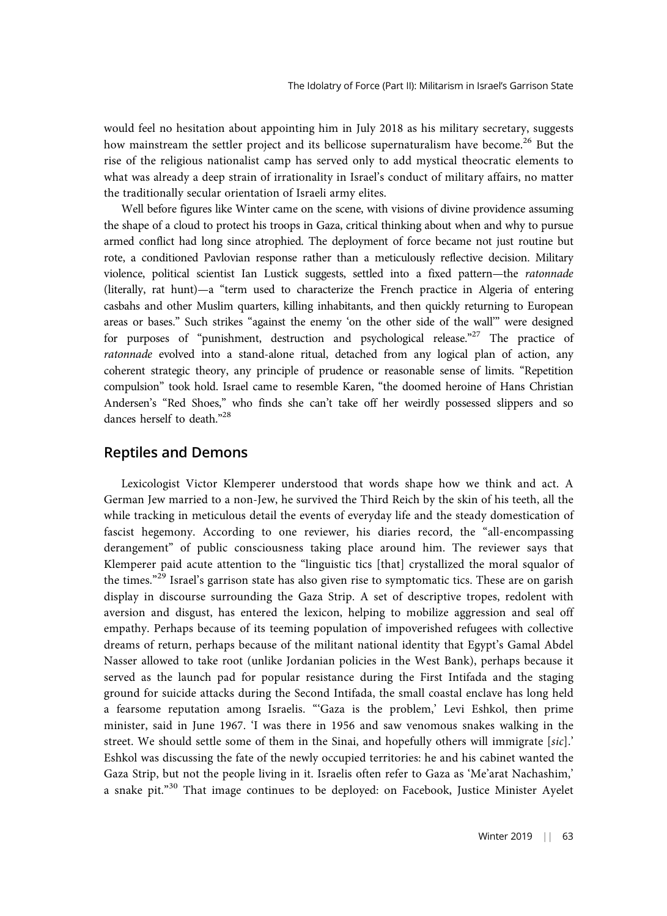would feel no hesitation about appointing him in July 2018 as his military secretary, suggests how mainstream the settler project and its bellicose supernaturalism have become.<sup>26</sup> But the rise of the religious nationalist camp has served only to add mystical theocratic elements to what was already a deep strain of irrationality in Israel's conduct of military affairs, no matter the traditionally secular orientation of Israeli army elites.

Well before figures like Winter came on the scene, with visions of divine providence assuming the shape of a cloud to protect his troops in Gaza, critical thinking about when and why to pursue armed conflict had long since atrophied. The deployment of force became not just routine but rote, a conditioned Pavlovian response rather than a meticulously reflective decision. Military violence, political scientist Ian Lustick suggests, settled into a fixed pattern—the ratonnade (literally, rat hunt)—a "term used to characterize the French practice in Algeria of entering casbahs and other Muslim quarters, killing inhabitants, and then quickly returning to European areas or bases." Such strikes "against the enemy 'on the other side of the wall'" were designed for purposes of "punishment, destruction and psychological release."<sup>27</sup> The practice of ratonnade evolved into a stand-alone ritual, detached from any logical plan of action, any coherent strategic theory, any principle of prudence or reasonable sense of limits. "Repetition compulsion" took hold. Israel came to resemble Karen, "the doomed heroine of Hans Christian Andersen's "Red Shoes," who finds she can't take off her weirdly possessed slippers and so dances herself to death."28

## Reptiles and Demons

Lexicologist Victor Klemperer understood that words shape how we think and act. A German Jew married to a non-Jew, he survived the Third Reich by the skin of his teeth, all the while tracking in meticulous detail the events of everyday life and the steady domestication of fascist hegemony. According to one reviewer, his diaries record, the "all-encompassing derangement" of public consciousness taking place around him. The reviewer says that Klemperer paid acute attention to the "linguistic tics [that] crystallized the moral squalor of the times."<sup>29</sup> Israel's garrison state has also given rise to symptomatic tics. These are on garish display in discourse surrounding the Gaza Strip. A set of descriptive tropes, redolent with aversion and disgust, has entered the lexicon, helping to mobilize aggression and seal off empathy. Perhaps because of its teeming population of impoverished refugees with collective dreams of return, perhaps because of the militant national identity that Egypt's Gamal Abdel Nasser allowed to take root (unlike Jordanian policies in the West Bank), perhaps because it served as the launch pad for popular resistance during the First Intifada and the staging ground for suicide attacks during the Second Intifada, the small coastal enclave has long held a fearsome reputation among Israelis. "'Gaza is the problem,' Levi Eshkol, then prime minister, said in June 1967. 'I was there in 1956 and saw venomous snakes walking in the street. We should settle some of them in the Sinai, and hopefully others will immigrate [sic].' Eshkol was discussing the fate of the newly occupied territories: he and his cabinet wanted the Gaza Strip, but not the people living in it. Israelis often refer to Gaza as 'Me'arat Nachashim,' a snake pit."<sup>30</sup> That image continues to be deployed: on Facebook, Justice Minister Ayelet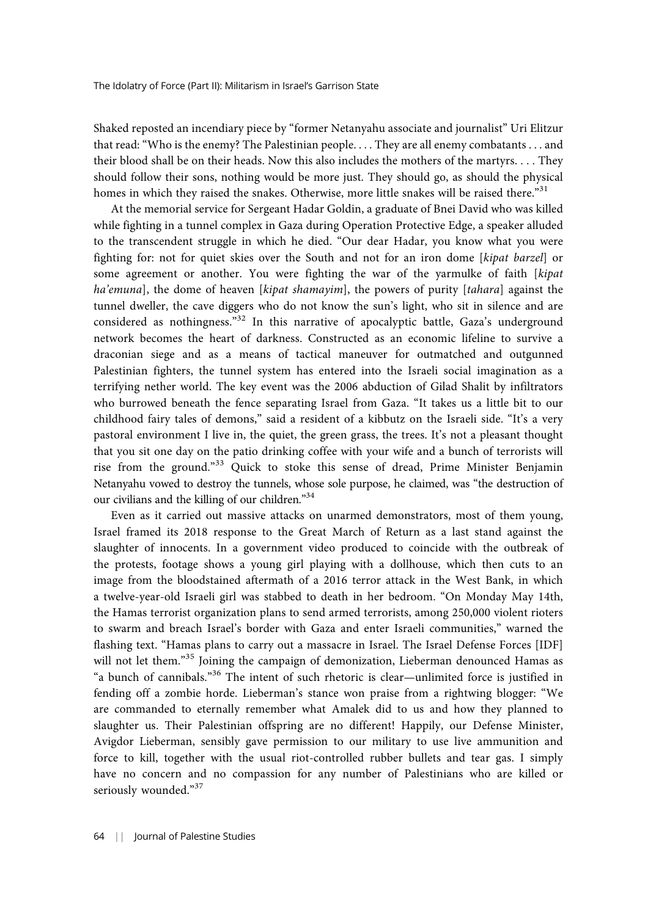Shaked reposted an incendiary piece by "former Netanyahu associate and journalist" Uri Elitzur that read: "Who is the enemy? The Palestinian people. . . . They are all enemy combatants . . . and their blood shall be on their heads. Now this also includes the mothers of the martyrs. . . . They should follow their sons, nothing would be more just. They should go, as should the physical homes in which they raised the snakes. Otherwise, more little snakes will be raised there."<sup>31</sup>

At the memorial service for Sergeant Hadar Goldin, a graduate of Bnei David who was killed while fighting in a tunnel complex in Gaza during Operation Protective Edge, a speaker alluded to the transcendent struggle in which he died. "Our dear Hadar, you know what you were fighting for: not for quiet skies over the South and not for an iron dome [kipat barzel] or some agreement or another. You were fighting the war of the yarmulke of faith [kipat ha'emuna], the dome of heaven [kipat shamayim], the powers of purity [tahara] against the tunnel dweller, the cave diggers who do not know the sun's light, who sit in silence and are considered as nothingness."<sup>32</sup> In this narrative of apocalyptic battle, Gaza's underground network becomes the heart of darkness. Constructed as an economic lifeline to survive a draconian siege and as a means of tactical maneuver for outmatched and outgunned Palestinian fighters, the tunnel system has entered into the Israeli social imagination as a terrifying nether world. The key event was the 2006 abduction of Gilad Shalit by infiltrators who burrowed beneath the fence separating Israel from Gaza. "It takes us a little bit to our childhood fairy tales of demons," said a resident of a kibbutz on the Israeli side. "It's a very pastoral environment I live in, the quiet, the green grass, the trees. It's not a pleasant thought that you sit one day on the patio drinking coffee with your wife and a bunch of terrorists will rise from the ground."<sup>33</sup> Quick to stoke this sense of dread, Prime Minister Benjamin Netanyahu vowed to destroy the tunnels, whose sole purpose, he claimed, was "the destruction of our civilians and the killing of our children."34

Even as it carried out massive attacks on unarmed demonstrators, most of them young, Israel framed its 2018 response to the Great March of Return as a last stand against the slaughter of innocents. In a government video produced to coincide with the outbreak of the protests, footage shows a young girl playing with a dollhouse, which then cuts to an image from the bloodstained aftermath of a 2016 terror attack in the West Bank, in which a twelve-year-old Israeli girl was stabbed to death in her bedroom. "On Monday May 14th, the Hamas terrorist organization plans to send armed terrorists, among 250,000 violent rioters to swarm and breach Israel's border with Gaza and enter Israeli communities," warned the flashing text. "Hamas plans to carry out a massacre in Israel. The Israel Defense Forces [IDF] will not let them."<sup>35</sup> Joining the campaign of demonization, Lieberman denounced Hamas as "a bunch of cannibals." <sup>36</sup> The intent of such rhetoric is clear—unlimited force is justified in fending off a zombie horde. Lieberman's stance won praise from a rightwing blogger: "We are commanded to eternally remember what Amalek did to us and how they planned to slaughter us. Their Palestinian offspring are no different! Happily, our Defense Minister, Avigdor Lieberman, sensibly gave permission to our military to use live ammunition and force to kill, together with the usual riot-controlled rubber bullets and tear gas. I simply have no concern and no compassion for any number of Palestinians who are killed or seriously wounded."37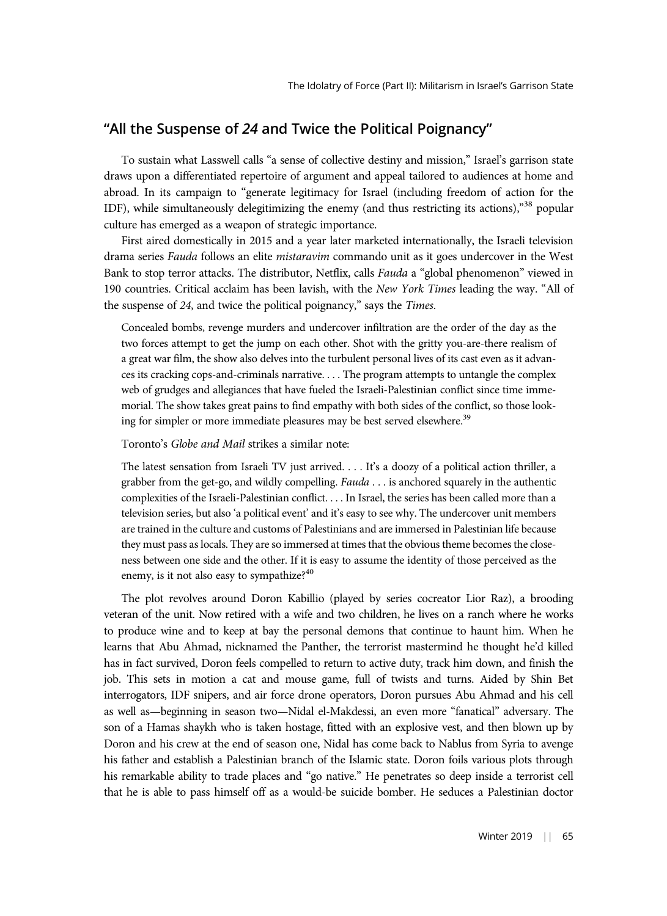# "All the Suspense of 24 and Twice the Political Poignancy"

To sustain what Lasswell calls "a sense of collective destiny and mission," Israel's garrison state draws upon a differentiated repertoire of argument and appeal tailored to audiences at home and abroad. In its campaign to "generate legitimacy for Israel (including freedom of action for the IDF), while simultaneously delegitimizing the enemy (and thus restricting its actions),"<sup>38</sup> popular culture has emerged as a weapon of strategic importance.

First aired domestically in 2015 and a year later marketed internationally, the Israeli television drama series Fauda follows an elite mistaravim commando unit as it goes undercover in the West Bank to stop terror attacks. The distributor, Netflix, calls Fauda a "global phenomenon" viewed in 190 countries. Critical acclaim has been lavish, with the New York Times leading the way. "All of the suspense of 24, and twice the political poignancy," says the Times.

Concealed bombs, revenge murders and undercover infiltration are the order of the day as the two forces attempt to get the jump on each other. Shot with the gritty you-are-there realism of a great war film, the show also delves into the turbulent personal lives of its cast even as it advances its cracking cops-and-criminals narrative. . . . The program attempts to untangle the complex web of grudges and allegiances that have fueled the Israeli-Palestinian conflict since time immemorial. The show takes great pains to find empathy with both sides of the conflict, so those looking for simpler or more immediate pleasures may be best served elsewhere.<sup>39</sup>

Toronto's Globe and Mail strikes a similar note:

The latest sensation from Israeli TV just arrived. . . . It's a doozy of a political action thriller, a grabber from the get-go, and wildly compelling.  $Fauda \dots$  is anchored squarely in the authentic complexities of the Israeli-Palestinian conflict. . . . In Israel, the series has been called more than a television series, but also 'a political event' and it's easy to see why. The undercover unit members are trained in the culture and customs of Palestinians and are immersed in Palestinian life because they must pass as locals. They are so immersed at times that the obvious theme becomes the closeness between one side and the other. If it is easy to assume the identity of those perceived as the enemy, is it not also easy to sympathize?<sup>40</sup>

The plot revolves around Doron Kabillio (played by series cocreator Lior Raz), a brooding veteran of the unit. Now retired with a wife and two children, he lives on a ranch where he works to produce wine and to keep at bay the personal demons that continue to haunt him. When he learns that Abu Ahmad, nicknamed the Panther, the terrorist mastermind he thought he'd killed has in fact survived, Doron feels compelled to return to active duty, track him down, and finish the job. This sets in motion a cat and mouse game, full of twists and turns. Aided by Shin Bet interrogators, IDF snipers, and air force drone operators, Doron pursues Abu Ahmad and his cell as well as—beginning in season two—Nidal el-Makdessi, an even more "fanatical" adversary. The son of a Hamas shaykh who is taken hostage, fitted with an explosive vest, and then blown up by Doron and his crew at the end of season one, Nidal has come back to Nablus from Syria to avenge his father and establish a Palestinian branch of the Islamic state. Doron foils various plots through his remarkable ability to trade places and "go native." He penetrates so deep inside a terrorist cell that he is able to pass himself off as a would-be suicide bomber. He seduces a Palestinian doctor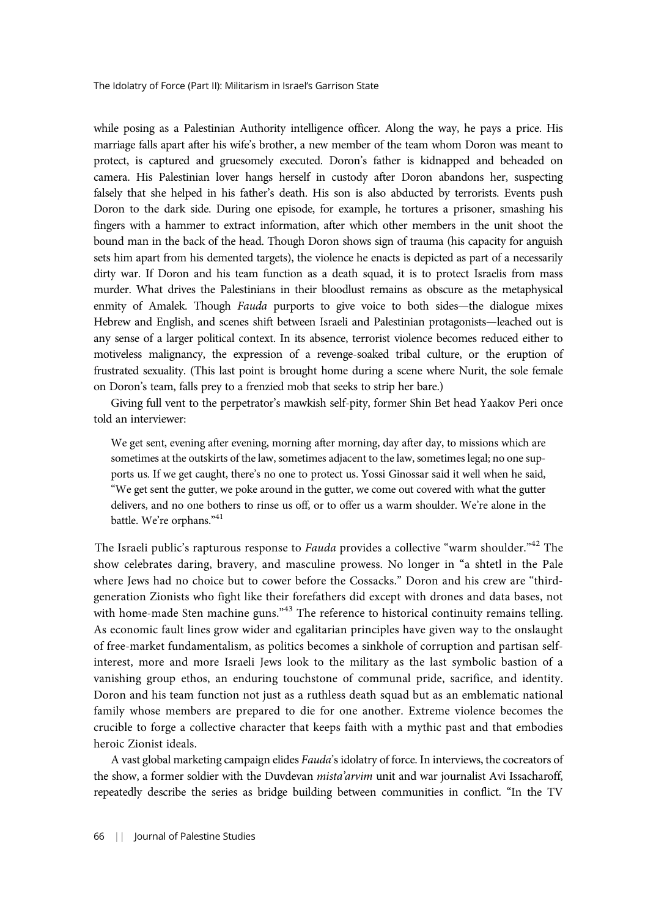while posing as a Palestinian Authority intelligence officer. Along the way, he pays a price. His marriage falls apart after his wife's brother, a new member of the team whom Doron was meant to protect, is captured and gruesomely executed. Doron's father is kidnapped and beheaded on camera. His Palestinian lover hangs herself in custody after Doron abandons her, suspecting falsely that she helped in his father's death. His son is also abducted by terrorists. Events push Doron to the dark side. During one episode, for example, he tortures a prisoner, smashing his fingers with a hammer to extract information, after which other members in the unit shoot the bound man in the back of the head. Though Doron shows sign of trauma (his capacity for anguish sets him apart from his demented targets), the violence he enacts is depicted as part of a necessarily dirty war. If Doron and his team function as a death squad, it is to protect Israelis from mass murder. What drives the Palestinians in their bloodlust remains as obscure as the metaphysical enmity of Amalek. Though Fauda purports to give voice to both sides—the dialogue mixes Hebrew and English, and scenes shift between Israeli and Palestinian protagonists—leached out is any sense of a larger political context. In its absence, terrorist violence becomes reduced either to motiveless malignancy, the expression of a revenge-soaked tribal culture, or the eruption of frustrated sexuality. (This last point is brought home during a scene where Nurit, the sole female on Doron's team, falls prey to a frenzied mob that seeks to strip her bare.)

Giving full vent to the perpetrator's mawkish self-pity, former Shin Bet head Yaakov Peri once told an interviewer:

We get sent, evening after evening, morning after morning, day after day, to missions which are sometimes at the outskirts of the law, sometimes adjacent to the law, sometimes legal; no one supports us. If we get caught, there's no one to protect us. Yossi Ginossar said it well when he said, "We get sent the gutter, we poke around in the gutter, we come out covered with what the gutter delivers, and no one bothers to rinse us off, or to offer us a warm shoulder. We're alone in the battle. We're orphans."<sup>41</sup>

The Israeli public's rapturous response to *Fauda* provides a collective "warm shoulder."<sup>42</sup> The show celebrates daring, bravery, and masculine prowess. No longer in "a shtetl in the Pale where Jews had no choice but to cower before the Cossacks." Doron and his crew are "thirdgeneration Zionists who fight like their forefathers did except with drones and data bases, not with home-made Sten machine guns."<sup>43</sup> The reference to historical continuity remains telling. As economic fault lines grow wider and egalitarian principles have given way to the onslaught of free-market fundamentalism, as politics becomes a sinkhole of corruption and partisan selfinterest, more and more Israeli Jews look to the military as the last symbolic bastion of a vanishing group ethos, an enduring touchstone of communal pride, sacrifice, and identity. Doron and his team function not just as a ruthless death squad but as an emblematic national family whose members are prepared to die for one another. Extreme violence becomes the crucible to forge a collective character that keeps faith with a mythic past and that embodies heroic Zionist ideals.

A vast global marketing campaign elides Fauda's idolatry of force. In interviews, the cocreators of the show, a former soldier with the Duvdevan mista'arvim unit and war journalist Avi Issacharoff, repeatedly describe the series as bridge building between communities in conflict. "In the TV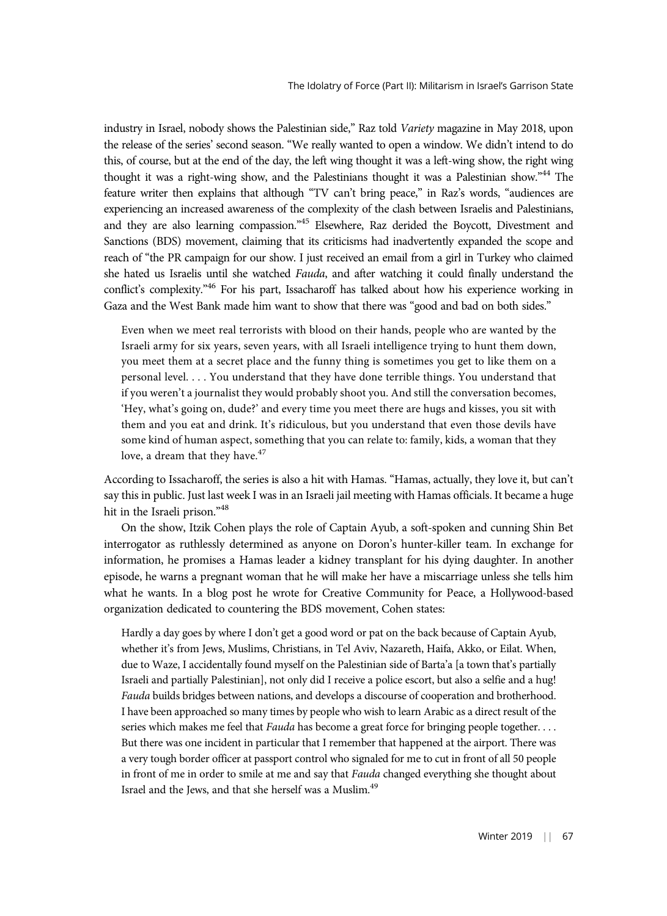industry in Israel, nobody shows the Palestinian side," Raz told Variety magazine in May 2018, upon the release of the series' second season. "We really wanted to open a window. We didn't intend to do this, of course, but at the end of the day, the left wing thought it was a left-wing show, the right wing thought it was a right-wing show, and the Palestinians thought it was a Palestinian show."<sup>44</sup> The feature writer then explains that although "TV can't bring peace," in Raz's words, "audiences are experiencing an increased awareness of the complexity of the clash between Israelis and Palestinians, and they are also learning compassion."<sup>45</sup> Elsewhere, Raz derided the Boycott, Divestment and Sanctions (BDS) movement, claiming that its criticisms had inadvertently expanded the scope and reach of "the PR campaign for our show. I just received an email from a girl in Turkey who claimed she hated us Israelis until she watched Fauda, and after watching it could finally understand the conflict's complexity."<sup>46</sup> For his part, Issacharoff has talked about how his experience working in Gaza and the West Bank made him want to show that there was "good and bad on both sides."

Even when we meet real terrorists with blood on their hands, people who are wanted by the Israeli army for six years, seven years, with all Israeli intelligence trying to hunt them down, you meet them at a secret place and the funny thing is sometimes you get to like them on a personal level. . . . You understand that they have done terrible things. You understand that if you weren't a journalist they would probably shoot you. And still the conversation becomes, 'Hey, what's going on, dude?' and every time you meet there are hugs and kisses, you sit with them and you eat and drink. It's ridiculous, but you understand that even those devils have some kind of human aspect, something that you can relate to: family, kids, a woman that they love, a dream that they have.<sup>47</sup>

According to Issacharoff, the series is also a hit with Hamas. "Hamas, actually, they love it, but can't say this in public. Just last week I was in an Israeli jail meeting with Hamas officials. It became a huge hit in the Israeli prison."<sup>48</sup>

On the show, Itzik Cohen plays the role of Captain Ayub, a soft-spoken and cunning Shin Bet interrogator as ruthlessly determined as anyone on Doron's hunter-killer team. In exchange for information, he promises a Hamas leader a kidney transplant for his dying daughter. In another episode, he warns a pregnant woman that he will make her have a miscarriage unless she tells him what he wants. In a blog post he wrote for Creative Community for Peace, a Hollywood-based organization dedicated to countering the BDS movement, Cohen states:

Hardly a day goes by where I don't get a good word or pat on the back because of Captain Ayub, whether it's from Jews, Muslims, Christians, in Tel Aviv, Nazareth, Haifa, Akko, or Eilat. When, due to Waze, I accidentally found myself on the Palestinian side of Barta'a [a town that's partially Israeli and partially Palestinian], not only did I receive a police escort, but also a selfie and a hug! Fauda builds bridges between nations, and develops a discourse of cooperation and brotherhood. I have been approached so many times by people who wish to learn Arabic as a direct result of the series which makes me feel that Fauda has become a great force for bringing people together. . . . But there was one incident in particular that I remember that happened at the airport. There was a very tough border officer at passport control who signaled for me to cut in front of all 50 people in front of me in order to smile at me and say that Fauda changed everything she thought about Israel and the Jews, and that she herself was a Muslim.49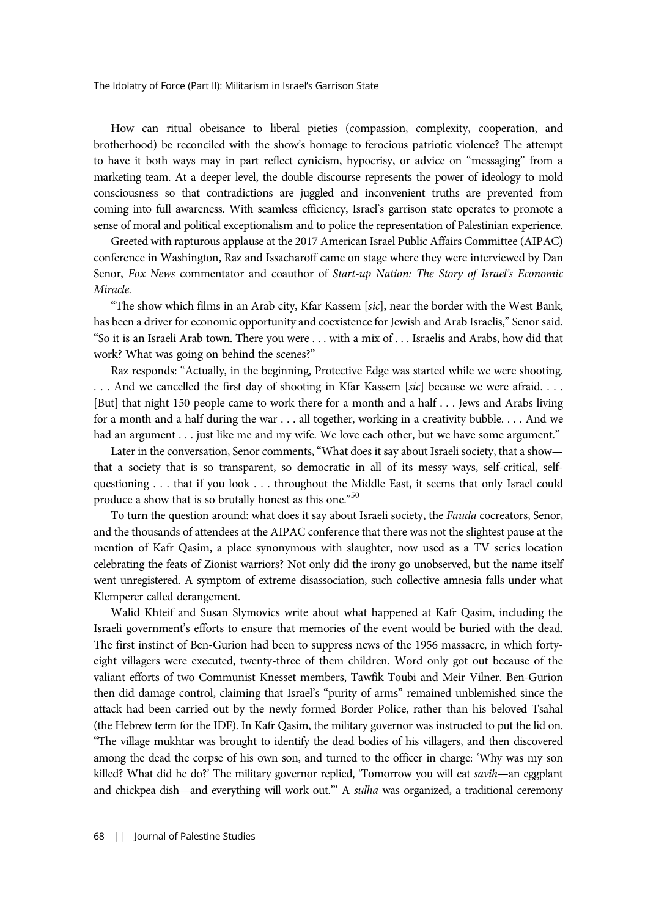How can ritual obeisance to liberal pieties (compassion, complexity, cooperation, and brotherhood) be reconciled with the show's homage to ferocious patriotic violence? The attempt to have it both ways may in part reflect cynicism, hypocrisy, or advice on "messaging" from a marketing team. At a deeper level, the double discourse represents the power of ideology to mold consciousness so that contradictions are juggled and inconvenient truths are prevented from coming into full awareness. With seamless efficiency, Israel's garrison state operates to promote a sense of moral and political exceptionalism and to police the representation of Palestinian experience.

Greeted with rapturous applause at the 2017 American Israel Public Affairs Committee (AIPAC) conference in Washington, Raz and Issacharoff came on stage where they were interviewed by Dan Senor, Fox News commentator and coauthor of Start-up Nation: The Story of Israel's Economic Miracle.

"The show which films in an Arab city, Kfar Kassem [sic], near the border with the West Bank, has been a driver for economic opportunity and coexistence for Jewish and Arab Israelis," Senor said. "So it is an Israeli Arab town. There you were . . . with a mix of . . . Israelis and Arabs, how did that work? What was going on behind the scenes?"

Raz responds: "Actually, in the beginning, Protective Edge was started while we were shooting. ... And we cancelled the first day of shooting in Kfar Kassem [sic] because we were afraid.... [But] that night 150 people came to work there for a month and a half . . . Jews and Arabs living for a month and a half during the war . . . all together, working in a creativity bubble. . . . And we had an argument . . . just like me and my wife. We love each other, but we have some argument."

Later in the conversation, Senor comments, "What does it say about Israeli society, that a show that a society that is so transparent, so democratic in all of its messy ways, self-critical, selfquestioning . . . that if you look . . . throughout the Middle East, it seems that only Israel could produce a show that is so brutally honest as this one."<sup>50</sup>

To turn the question around: what does it say about Israeli society, the Fauda cocreators, Senor, and the thousands of attendees at the AIPAC conference that there was not the slightest pause at the mention of Kafr Qasim, a place synonymous with slaughter, now used as a TV series location celebrating the feats of Zionist warriors? Not only did the irony go unobserved, but the name itself went unregistered. A symptom of extreme disassociation, such collective amnesia falls under what Klemperer called derangement.

Walid Khteif and Susan Slymovics write about what happened at Kafr Qasim, including the Israeli government's efforts to ensure that memories of the event would be buried with the dead. The first instinct of Ben-Gurion had been to suppress news of the 1956 massacre, in which fortyeight villagers were executed, twenty-three of them children. Word only got out because of the valiant efforts of two Communist Knesset members, Tawfik Toubi and Meir Vilner. Ben-Gurion then did damage control, claiming that Israel's "purity of arms" remained unblemished since the attack had been carried out by the newly formed Border Police, rather than his beloved Tsahal (the Hebrew term for the IDF). In Kafr Qasim, the military governor was instructed to put the lid on. "The village mukhtar was brought to identify the dead bodies of his villagers, and then discovered among the dead the corpse of his own son, and turned to the officer in charge: 'Why was my son killed? What did he do?' The military governor replied, 'Tomorrow you will eat savih—an eggplant and chickpea dish—and everything will work out." A sulha was organized, a traditional ceremony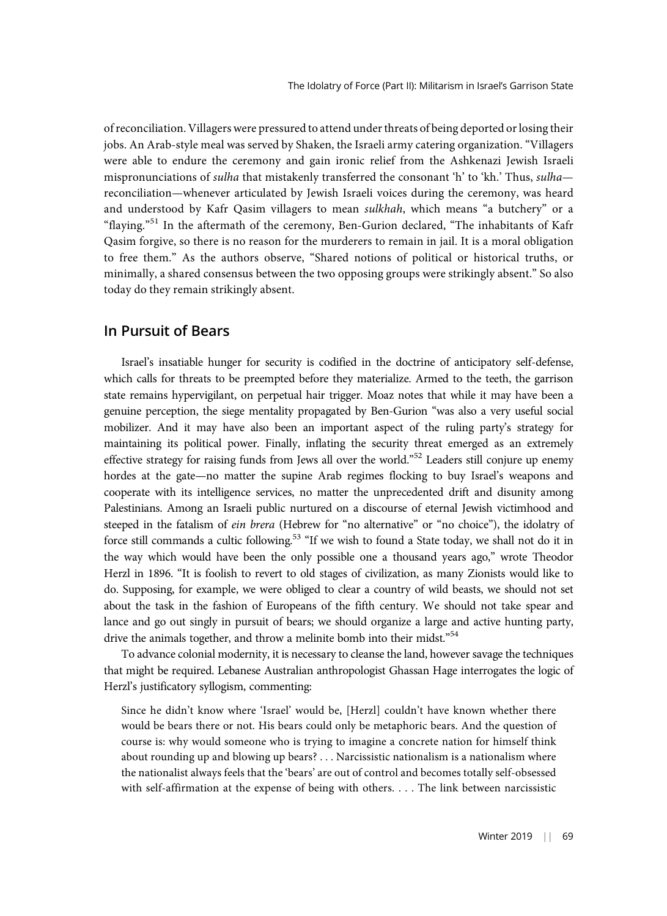of reconciliation. Villagers were pressured to attend under threats of being deported or losing their jobs. An Arab-style meal was served by Shaken, the Israeli army catering organization. "Villagers were able to endure the ceremony and gain ironic relief from the Ashkenazi Jewish Israeli mispronunciations of *sulha* that mistakenly transferred the consonant 'h' to 'kh.' Thus, *sulha* reconciliation—whenever articulated by Jewish Israeli voices during the ceremony, was heard and understood by Kafr Qasim villagers to mean sulkhah, which means "a butchery" or a "flaying."<sup>51</sup> In the aftermath of the ceremony, Ben-Gurion declared, "The inhabitants of Kafr Qasim forgive, so there is no reason for the murderers to remain in jail. It is a moral obligation to free them." As the authors observe, "Shared notions of political or historical truths, or minimally, a shared consensus between the two opposing groups were strikingly absent." So also today do they remain strikingly absent.

## In Pursuit of Bears

Israel's insatiable hunger for security is codified in the doctrine of anticipatory self-defense, which calls for threats to be preempted before they materialize. Armed to the teeth, the garrison state remains hypervigilant, on perpetual hair trigger. Moaz notes that while it may have been a genuine perception, the siege mentality propagated by Ben-Gurion "was also a very useful social mobilizer. And it may have also been an important aspect of the ruling party's strategy for maintaining its political power. Finally, inflating the security threat emerged as an extremely effective strategy for raising funds from Jews all over the world."<sup>52</sup> Leaders still conjure up enemy hordes at the gate—no matter the supine Arab regimes flocking to buy Israel's weapons and cooperate with its intelligence services, no matter the unprecedented drift and disunity among Palestinians. Among an Israeli public nurtured on a discourse of eternal Jewish victimhood and steeped in the fatalism of ein brera (Hebrew for "no alternative" or "no choice"), the idolatry of force still commands a cultic following.<sup>53</sup> "If we wish to found a State today, we shall not do it in the way which would have been the only possible one a thousand years ago," wrote Theodor Herzl in 1896. "It is foolish to revert to old stages of civilization, as many Zionists would like to do. Supposing, for example, we were obliged to clear a country of wild beasts, we should not set about the task in the fashion of Europeans of the fifth century. We should not take spear and lance and go out singly in pursuit of bears; we should organize a large and active hunting party, drive the animals together, and throw a melinite bomb into their midst."<sup>54</sup>

To advance colonial modernity, it is necessary to cleanse the land, however savage the techniques that might be required. Lebanese Australian anthropologist Ghassan Hage interrogates the logic of Herzl's justificatory syllogism, commenting:

Since he didn't know where 'Israel' would be, [Herzl] couldn't have known whether there would be bears there or not. His bears could only be metaphoric bears. And the question of course is: why would someone who is trying to imagine a concrete nation for himself think about rounding up and blowing up bears? . . . Narcissistic nationalism is a nationalism where the nationalist always feels that the 'bears' are out of control and becomes totally self-obsessed with self-affirmation at the expense of being with others. . . . The link between narcissistic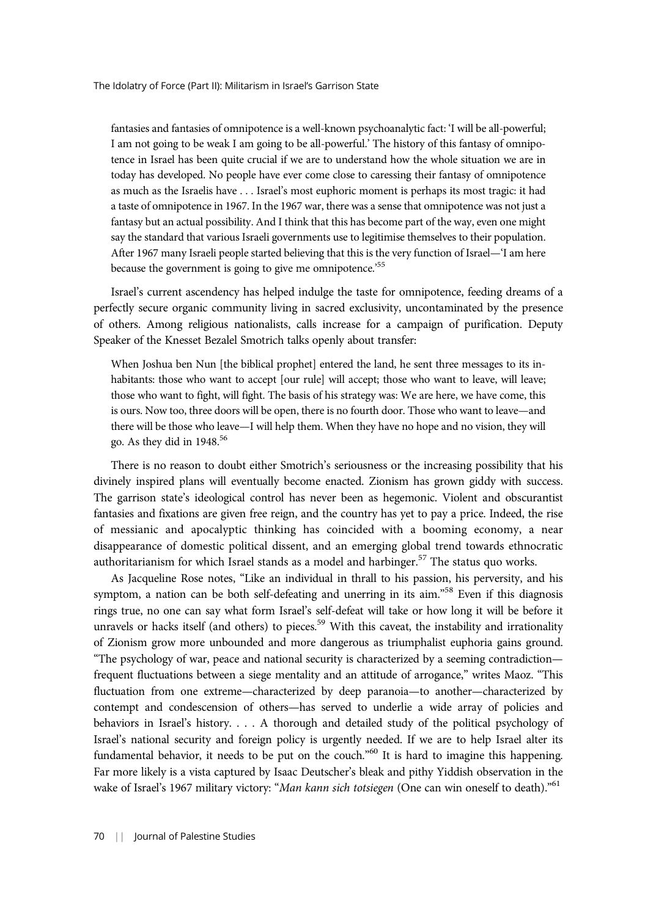fantasies and fantasies of omnipotence is a well-known psychoanalytic fact: 'I will be all-powerful; I am not going to be weak I am going to be all-powerful.' The history of this fantasy of omnipotence in Israel has been quite crucial if we are to understand how the whole situation we are in today has developed. No people have ever come close to caressing their fantasy of omnipotence as much as the Israelis have . . . Israel's most euphoric moment is perhaps its most tragic: it had a taste of omnipotence in 1967. In the 1967 war, there was a sense that omnipotence was not just a fantasy but an actual possibility. And I think that this has become part of the way, even one might say the standard that various Israeli governments use to legitimise themselves to their population. After 1967 many Israeli people started believing that this is the very function of Israel—'I am here because the government is going to give me omnipotence.<sup>555</sup>

Israel's current ascendency has helped indulge the taste for omnipotence, feeding dreams of a perfectly secure organic community living in sacred exclusivity, uncontaminated by the presence of others. Among religious nationalists, calls increase for a campaign of purification. Deputy Speaker of the Knesset Bezalel Smotrich talks openly about transfer:

When Joshua ben Nun [the biblical prophet] entered the land, he sent three messages to its inhabitants: those who want to accept [our rule] will accept; those who want to leave, will leave; those who want to fight, will fight. The basis of his strategy was: We are here, we have come, this is ours. Now too, three doors will be open, there is no fourth door. Those who want to leave—and there will be those who leave—I will help them. When they have no hope and no vision, they will go. As they did in  $1948.^{56}$ 

There is no reason to doubt either Smotrich's seriousness or the increasing possibility that his divinely inspired plans will eventually become enacted. Zionism has grown giddy with success. The garrison state's ideological control has never been as hegemonic. Violent and obscurantist fantasies and fixations are given free reign, and the country has yet to pay a price. Indeed, the rise of messianic and apocalyptic thinking has coincided with a booming economy, a near disappearance of domestic political dissent, and an emerging global trend towards ethnocratic authoritarianism for which Israel stands as a model and harbinger.<sup>57</sup> The status quo works.

As Jacqueline Rose notes, "Like an individual in thrall to his passion, his perversity, and his symptom, a nation can be both self-defeating and unerring in its aim."<sup>58</sup> Even if this diagnosis rings true, no one can say what form Israel's self-defeat will take or how long it will be before it unravels or hacks itself (and others) to pieces.<sup>59</sup> With this caveat, the instability and irrationality of Zionism grow more unbounded and more dangerous as triumphalist euphoria gains ground. "The psychology of war, peace and national security is characterized by a seeming contradiction frequent fluctuations between a siege mentality and an attitude of arrogance," writes Maoz. "This fluctuation from one extreme—characterized by deep paranoia—to another—characterized by contempt and condescension of others—has served to underlie a wide array of policies and behaviors in Israel's history. . . . A thorough and detailed study of the political psychology of Israel's national security and foreign policy is urgently needed. If we are to help Israel alter its fundamental behavior, it needs to be put on the couch."<sup>60</sup> It is hard to imagine this happening. Far more likely is a vista captured by Isaac Deutscher's bleak and pithy Yiddish observation in the wake of Israel's 1967 military victory: "Man kann sich totsiegen (One can win oneself to death)."<sup>61</sup>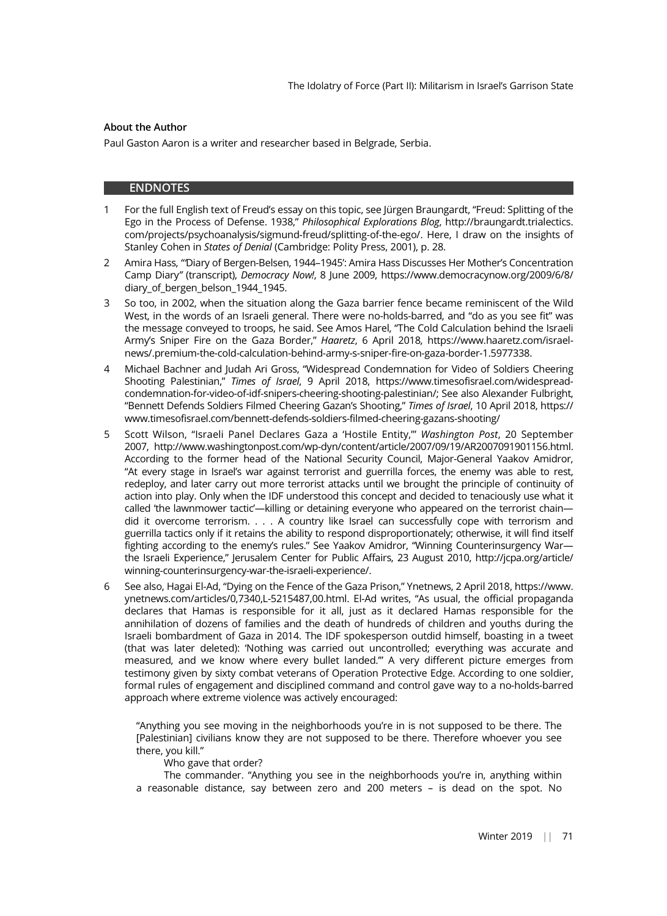#### About the Author

Paul Gaston Aaron is a writer and researcher based in Belgrade, Serbia.

#### ENDNOTES

- 1 For the full English text of Freud's essay on this topic, see Jürgen Braungardt, "Freud: Splitting of the Ego in the Process of Defense. 1938," Philosophical Explorations Blog, http://braungardt.trialectics. com/projects/psychoanalysis/sigmund-freud/splitting-of-the-ego/. Here, I draw on the insights of Stanley Cohen in States of Denial (Cambridge: Polity Press, 2001), p. 28.
- 2 Amira Hass, "'Diary of Bergen-Belsen, 1944–1945': Amira Hass Discusses Her Mother's Concentration Camp Diary" (transcript), Democracy Now!, 8 June 2009, https://www.democracynow.org/2009/6/8/ diary of bergen belson 1944 1945.
- 3 So too, in 2002, when the situation along the Gaza barrier fence became reminiscent of the Wild West, in the words of an Israeli general. There were no-holds-barred, and "do as you see fit" was the message conveyed to troops, he said. See Amos Harel, "The Cold Calculation behind the Israeli Army's Sniper Fire on the Gaza Border," Haaretz, 6 April 2018, https://www.haaretz.com/israelnews/.premium-the-cold-calculation-behind-army-s-sniper-fire-on-gaza-border-1.5977338.
- 4 Michael Bachner and Judah Ari Gross, "Widespread Condemnation for Video of Soldiers Cheering Shooting Palestinian," Times of Israel, 9 April 2018, https://www.timesofisrael.com/widespreadcondemnation-for-video-of-idf-snipers-cheering-shooting-palestinian/; See also Alexander Fulbright, "Bennett Defends Soldiers Filmed Cheering Gazan's Shooting," Times of Israel, 10 April 2018, https:// www.timesofisrael.com/bennett-defends-soldiers-filmed-cheering-gazans-shooting/
- 5 Scott Wilson, "Israeli Panel Declares Gaza a 'Hostile Entity,"" Washington Post, 20 September 2007, http://www.washingtonpost.com/wp-dyn/content/article/2007/09/19/AR2007091901156.html. According to the former head of the National Security Council, Major-General Yaakov Amidror, "At every stage in Israel's war against terrorist and guerrilla forces, the enemy was able to rest, redeploy, and later carry out more terrorist attacks until we brought the principle of continuity of action into play. Only when the IDF understood this concept and decided to tenaciously use what it called 'the lawnmower tactic'—killing or detaining everyone who appeared on the terrorist chain did it overcome terrorism. . . . A country like Israel can successfully cope with terrorism and guerrilla tactics only if it retains the ability to respond disproportionately; otherwise, it will find itself fighting according to the enemy's rules." See Yaakov Amidror, "Winning Counterinsurgency War the Israeli Experience," Jerusalem Center for Public Affairs, 23 August 2010, http://jcpa.org/article/ winning-counterinsurgency-war-the-israeli-experience/.
- 6 See also, Hagai El-Ad, "Dying on the Fence of the Gaza Prison," Ynetnews, 2 April 2018, https://www. ynetnews.com/articles/0,7340,L-5215487,00.html. El-Ad writes, "As usual, the official propaganda declares that Hamas is responsible for it all, just as it declared Hamas responsible for the annihilation of dozens of families and the death of hundreds of children and youths during the Israeli bombardment of Gaza in 2014. The IDF spokesperson outdid himself, boasting in a tweet (that was later deleted): 'Nothing was carried out uncontrolled; everything was accurate and measured, and we know where every bullet landed.'" A very different picture emerges from testimony given by sixty combat veterans of Operation Protective Edge. According to one soldier, formal rules of engagement and disciplined command and control gave way to a no-holds-barred approach where extreme violence was actively encouraged:

"Anything you see moving in the neighborhoods you're in is not supposed to be there. The [Palestinian] civilians know they are not supposed to be there. Therefore whoever you see there, you kill."

#### Who gave that order?

The commander. "Anything you see in the neighborhoods you're in, anything within a reasonable distance, say between zero and 200 meters – is dead on the spot. No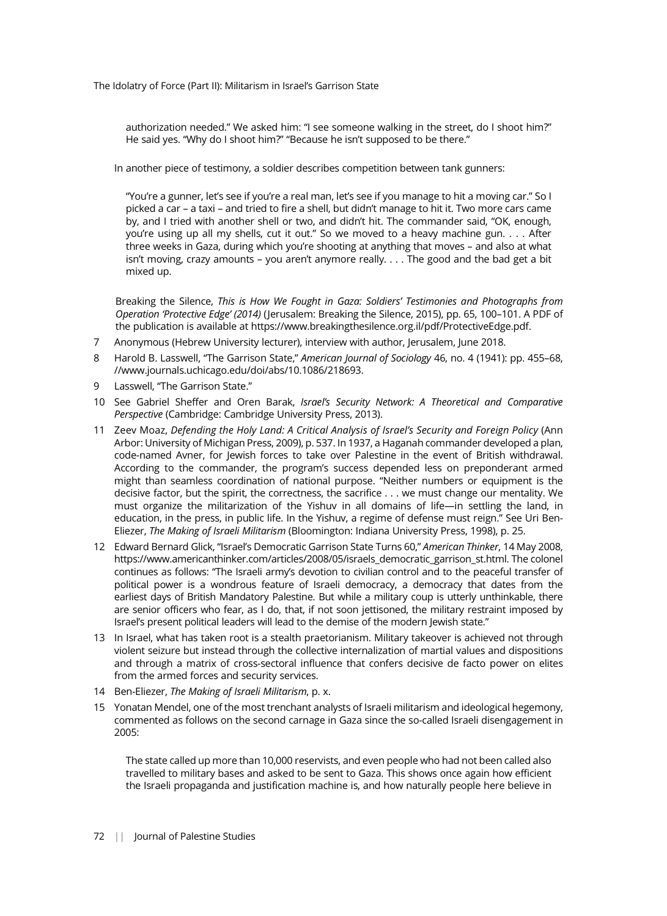authorization needed." We asked him: "I see someone walking in the street, do I shoot him?" He said yes. "Why do I shoot him?" "Because he isn't supposed to be there."

In another piece of testimony, a soldier describes competition between tank gunners:

"You're a gunner, let's see if you're a real man, let's see if you manage to hit a moving car." So I picked a car – a taxi – and tried to fire a shell, but didn't manage to hit it. Two more cars came by, and I tried with another shell or two, and didn't hit. The commander said, "OK, enough, you're using up all my shells, cut it out." So we moved to a heavy machine gun. . . . After three weeks in Gaza, during which you're shooting at anything that moves – and also at what isn't moving, crazy amounts – you aren't anymore really. . . . The good and the bad get a bit mixed up.

Breaking the Silence, This is How We Fought in Gaza: Soldiers' Testimonies and Photographs from Operation 'Protective Edge' (2014) (Jerusalem: Breaking the Silence, 2015), pp. 65, 100–101. A PDF of the publication is available at https://www.breakingthesilence.org.il/pdf/ProtectiveEdge.pdf.

- Anonymous (Hebrew University lecturer), interview with author, Jerusalem, June 2018.
- 8 Harold B. Lasswell, "The Garrison State," American Journal of Sociology 46, no. 4 (1941): pp. 455-68, //www.journals.uchicago.edu/doi/abs/10.1086/218693.
- 9 Lasswell, "The Garrison State."
- 10 See Gabriel Sheffer and Oren Barak, Israel's Security Network: A Theoretical and Comparative Perspective (Cambridge: Cambridge University Press, 2013).
- 11 Zeev Moaz, Defending the Holy Land: A Critical Analysis of Israel's Security and Foreign Policy (Ann Arbor: University of Michigan Press, 2009), p. 537. In 1937, a Haganah commander developed a plan, code-named Avner, for Jewish forces to take over Palestine in the event of British withdrawal. According to the commander, the program's success depended less on preponderant armed might than seamless coordination of national purpose. "Neither numbers or equipment is the decisive factor, but the spirit, the correctness, the sacrifice . . . we must change our mentality. We must organize the militarization of the Yishuv in all domains of life—in settling the land, in education, in the press, in public life. In the Yishuv, a regime of defense must reign." See Uri Ben-Eliezer, The Making of Israeli Militarism (Bloomington: Indiana University Press, 1998), p. 25.
- 12 Edward Bernard Glick, "Israel's Democratic Garrison State Turns 60," American Thinker, 14 May 2008, https://www.americanthinker.com/articles/2008/05/israels\_democratic\_garrison\_st.html. The colonel continues as follows: "The Israeli army's devotion to civilian control and to the peaceful transfer of political power is a wondrous feature of Israeli democracy, a democracy that dates from the earliest days of British Mandatory Palestine. But while a military coup is utterly unthinkable, there are senior officers who fear, as I do, that, if not soon jettisoned, the military restraint imposed by Israel's present political leaders will lead to the demise of the modern Jewish state."
- 13 In Israel, what has taken root is a stealth praetorianism. Military takeover is achieved not through violent seizure but instead through the collective internalization of martial values and dispositions and through a matrix of cross-sectoral influence that confers decisive de facto power on elites from the armed forces and security services.
- 14 Ben-Eliezer, The Making of Israeli Militarism, p. x.
- 15 Yonatan Mendel, one of the most trenchant analysts of Israeli militarism and ideological hegemony, commented as follows on the second carnage in Gaza since the so-called Israeli disengagement in 2005:

The state called up more than 10,000 reservists, and even people who had not been called also travelled to military bases and asked to be sent to Gaza. This shows once again how efficient the Israeli propaganda and justification machine is, and how naturally people here believe in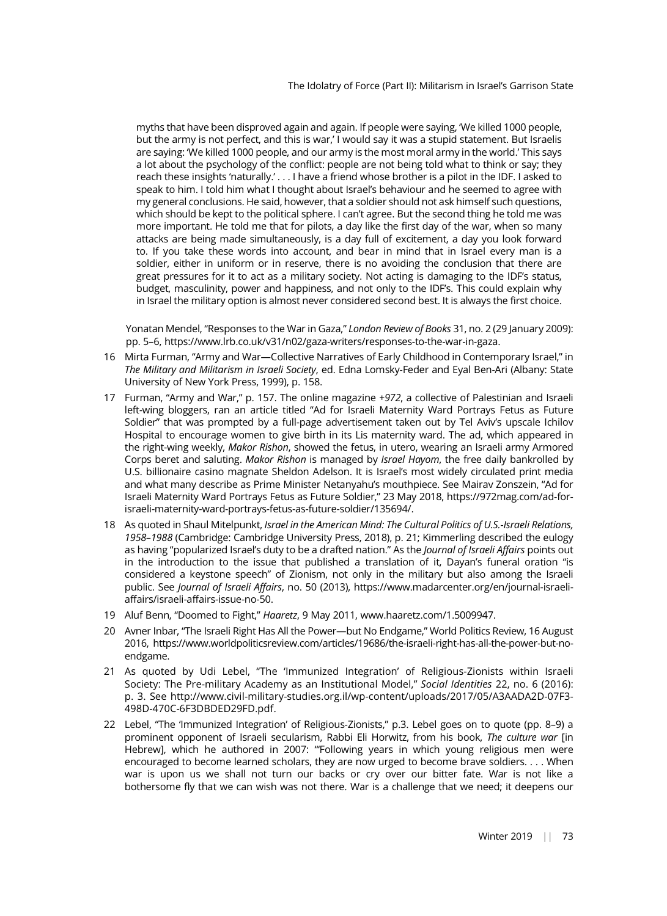myths that have been disproved again and again. If people were saying, 'We killed 1000 people, but the army is not perfect, and this is war,' I would say it was a stupid statement. But Israelis are saying: 'We killed 1000 people, and our army is the most moral army in the world.' This says a lot about the psychology of the conflict: people are not being told what to think or say; they reach these insights 'naturally.' . . . I have a friend whose brother is a pilot in the IDF. I asked to speak to him. I told him what I thought about Israel's behaviour and he seemed to agree with my general conclusions. He said, however, that a soldier should not ask himself such questions, which should be kept to the political sphere. I can't agree. But the second thing he told me was more important. He told me that for pilots, a day like the first day of the war, when so many attacks are being made simultaneously, is a day full of excitement, a day you look forward to. If you take these words into account, and bear in mind that in Israel every man is a soldier, either in uniform or in reserve, there is no avoiding the conclusion that there are great pressures for it to act as a military society. Not acting is damaging to the IDF's status, budget, masculinity, power and happiness, and not only to the IDF's. This could explain why in Israel the military option is almost never considered second best. It is always the first choice.

Yonatan Mendel, "Responses to the War in Gaza," London Review of Books 31, no. 2 (29 January 2009): pp. 5–6, https://www.lrb.co.uk/v31/n02/gaza-writers/responses-to-the-war-in-gaza.

- 16 Mirta Furman, "Army and War—Collective Narratives of Early Childhood in Contemporary Israel," in The Military and Militarism in Israeli Society, ed. Edna Lomsky-Feder and Eyal Ben-Ari (Albany: State University of New York Press, 1999), p. 158.
- 17 Furman, "Army and War," p. 157. The online magazine +972, a collective of Palestinian and Israeli left-wing bloggers, ran an article titled "Ad for Israeli Maternity Ward Portrays Fetus as Future Soldier" that was prompted by a full-page advertisement taken out by Tel Aviv's upscale Ichilov Hospital to encourage women to give birth in its Lis maternity ward. The ad, which appeared in the right-wing weekly, Makor Rishon, showed the fetus, in utero, wearing an Israeli army Armored Corps beret and saluting. Makor Rishon is managed by Israel Hayom, the free daily bankrolled by U.S. billionaire casino magnate Sheldon Adelson. It is Israel's most widely circulated print media and what many describe as Prime Minister Netanyahu's mouthpiece. See Mairav Zonszein, "Ad for Israeli Maternity Ward Portrays Fetus as Future Soldier," 23 May 2018, https://972mag.com/ad-forisraeli-maternity-ward-portrays-fetus-as-future-soldier/135694/.
- 18 As quoted in Shaul Mitelpunkt, Israel in the American Mind: The Cultural Politics of U.S.-Israeli Relations, 1958–1988 (Cambridge: Cambridge University Press, 2018), p. 21; Kimmerling described the eulogy as having "popularized Israel's duty to be a drafted nation." As the Journal of Israeli Affairs points out in the introduction to the issue that published a translation of it, Dayan's funeral oration "is considered a keystone speech" of Zionism, not only in the military but also among the Israeli public. See Journal of Israeli Affairs, no. 50 (2013), https://www.madarcenter.org/en/journal-israeliaffairs/israeli-affairs-issue-no-50.
- 19 Aluf Benn, "Doomed to Fight," Haaretz, 9 May 2011, www.haaretz.com/1.5009947.
- 20 Avner Inbar, "The Israeli Right Has All the Power—but No Endgame," World Politics Review, 16 August 2016, https://www.worldpoliticsreview.com/articles/19686/the-israeli-right-has-all-the-power-but-noendgame.
- 21 As quoted by Udi Lebel, "The 'Immunized Integration' of Religious-Zionists within Israeli Society: The Pre-military Academy as an Institutional Model," Social Identities 22, no. 6 (2016): p. 3. See http://www.civil-military-studies.org.il/wp-content/uploads/2017/05/A3AADA2D-07F3- 498D-470C-6F3DBDED29FD.pdf.
- 22 Lebel, "The 'Immunized Integration' of Religious-Zionists," p.3. Lebel goes on to quote (pp. 8–9) a prominent opponent of Israeli secularism, Rabbi Eli Horwitz, from his book, The culture war [in Hebrew], which he authored in 2007: "'Following years in which young religious men were encouraged to become learned scholars, they are now urged to become brave soldiers. . . . When war is upon us we shall not turn our backs or cry over our bitter fate. War is not like a bothersome fly that we can wish was not there. War is a challenge that we need; it deepens our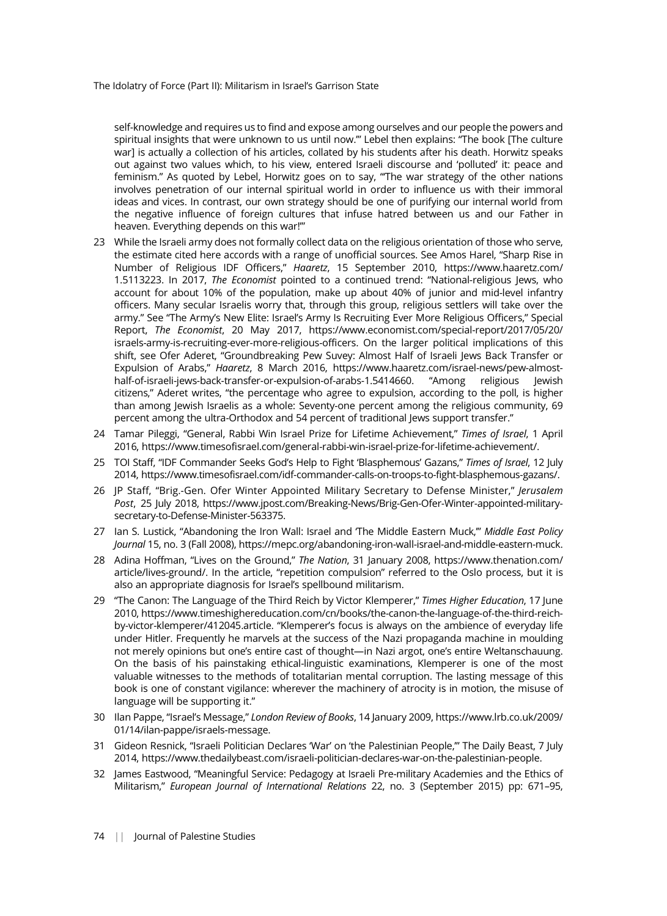self-knowledge and requires us to find and expose among ourselves and our people the powers and spiritual insights that were unknown to us until now.'" Lebel then explains: "The book [The culture war] is actually a collection of his articles, collated by his students after his death. Horwitz speaks out against two values which, to his view, entered Israeli discourse and 'polluted' it: peace and feminism." As quoted by Lebel, Horwitz goes on to say, "The war strategy of the other nations involves penetration of our internal spiritual world in order to influence us with their immoral ideas and vices. In contrast, our own strategy should be one of purifying our internal world from the negative influence of foreign cultures that infuse hatred between us and our Father in heaven. Everything depends on this war!'"

- 23 While the Israeli army does not formally collect data on the religious orientation of those who serve, the estimate cited here accords with a range of unofficial sources. See Amos Harel, "Sharp Rise in Number of Religious IDF Officers," Haaretz, 15 September 2010, https://www.haaretz.com/ 1.5113223. In 2017, The Economist pointed to a continued trend: "National-religious Jews, who account for about 10% of the population, make up about 40% of junior and mid-level infantry officers. Many secular Israelis worry that, through this group, religious settlers will take over the army." See "The Army's New Elite: Israel's Army Is Recruiting Ever More Religious Officers," Special Report, The Economist, 20 May 2017, https://www.economist.com/special-report/2017/05/20/ israels-army-is-recruiting-ever-more-religious-officers. On the larger political implications of this shift, see Ofer Aderet, "Groundbreaking Pew Suvey: Almost Half of Israeli Jews Back Transfer or Expulsion of Arabs," Haaretz, 8 March 2016, https://www.haaretz.com/israel-news/pew-almosthalf-of-israeli-jews-back-transfer-or-expulsion-of-arabs-1.5414660. "Among religious Jewish citizens," Aderet writes, "the percentage who agree to expulsion, according to the poll, is higher than among Jewish Israelis as a whole: Seventy-one percent among the religious community, 69 percent among the ultra-Orthodox and 54 percent of traditional Jews support transfer."
- 24 Tamar Pileggi, "General, Rabbi Win Israel Prize for Lifetime Achievement," Times of Israel, 1 April 2016, https://www.timesofisrael.com/general-rabbi-win-israel-prize-for-lifetime-achievement/.
- 25 TOI Staff, "IDF Commander Seeks God's Help to Fight 'Blasphemous' Gazans," Times of Israel, 12 July 2014, https://www.timesofisrael.com/idf-commander-calls-on-troops-to-fight-blasphemous-gazans/.
- 26 JP Staff, "Brig.-Gen. Ofer Winter Appointed Military Secretary to Defense Minister," Jerusalem Post, 25 July 2018, https://www.jpost.com/Breaking-News/Brig-Gen-Ofer-Winter-appointed-militarysecretary-to-Defense-Minister-563375.
- 27 Ian S. Lustick, "Abandoning the Iron Wall: Israel and The Middle Eastern Muck," Middle East Policy Journal 15, no. 3 (Fall 2008), https://mepc.org/abandoning-iron-wall-israel-and-middle-eastern-muck.
- 28 Adina Hoffman, "Lives on the Ground," The Nation, 31 January 2008, https://www.thenation.com/ article/lives-ground/. In the article, "repetition compulsion" referred to the Oslo process, but it is also an appropriate diagnosis for Israel's spellbound militarism.
- 29 "The Canon: The Language of the Third Reich by Victor Klemperer," Times Higher Education, 17 June 2010, https://www.timeshighereducation.com/cn/books/the-canon-the-language-of-the-third-reichby-victor-klemperer/412045.article. "Klemperer's focus is always on the ambience of everyday life under Hitler. Frequently he marvels at the success of the Nazi propaganda machine in moulding not merely opinions but one's entire cast of thought—in Nazi argot, one's entire Weltanschauung. On the basis of his painstaking ethical-linguistic examinations, Klemperer is one of the most valuable witnesses to the methods of totalitarian mental corruption. The lasting message of this book is one of constant vigilance: wherever the machinery of atrocity is in motion, the misuse of language will be supporting it."
- 30 Ilan Pappe, "Israel's Message," London Review of Books, 14 January 2009, https://www.lrb.co.uk/2009/ 01/14/ilan-pappe/israels-message.
- 31 Gideon Resnick, "Israeli Politician Declares 'War' on 'the Palestinian People,'" The Daily Beast, 7 July 2014, https://www.thedailybeast.com/israeli-politician-declares-war-on-the-palestinian-people.
- 32 James Eastwood, "Meaningful Service: Pedagogy at Israeli Pre-military Academies and the Ethics of Militarism," European Journal of International Relations 22, no. 3 (September 2015) pp: 671–95,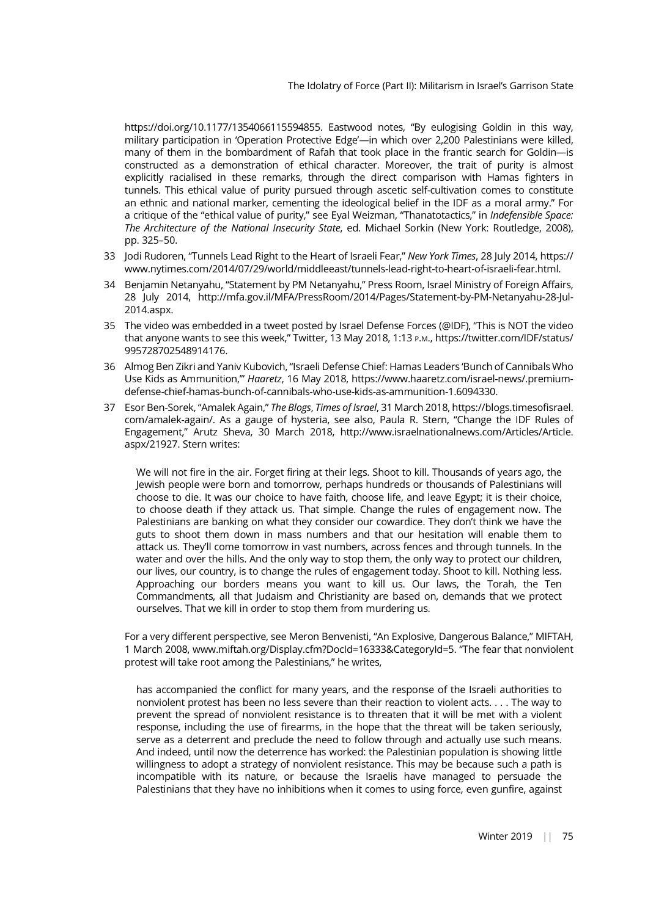https://doi.org/10.1177/1354066115594855. Eastwood notes, "By eulogising Goldin in this way, military participation in 'Operation Protective Edge'—in which over 2,200 Palestinians were killed, many of them in the bombardment of Rafah that took place in the frantic search for Goldin—is constructed as a demonstration of ethical character. Moreover, the trait of purity is almost explicitly racialised in these remarks, through the direct comparison with Hamas fighters in tunnels. This ethical value of purity pursued through ascetic self-cultivation comes to constitute an ethnic and national marker, cementing the ideological belief in the IDF as a moral army." For a critique of the "ethical value of purity," see Eyal Weizman, "Thanatotactics," in Indefensible Space: The Architecture of the National Insecurity State, ed. Michael Sorkin (New York: Routledge, 2008), pp. 325–50.

- 33 Jodi Rudoren, "Tunnels Lead Right to the Heart of Israeli Fear," New York Times, 28 July 2014, https:// www.nytimes.com/2014/07/29/world/middleeast/tunnels-lead-right-to-heart-of-israeli-fear.html.
- 34 Benjamin Netanyahu, "Statement by PM Netanyahu," Press Room, Israel Ministry of Foreign Affairs, 28 July 2014, http://mfa.gov.il/MFA/PressRoom/2014/Pages/Statement-by-PM-Netanyahu-28-Jul-2014.aspx.
- 35 The video was embedded in a tweet posted by Israel Defense Forces (@IDF), "This is NOT the video that anyone wants to see this week," Twitter, 13 May 2018, 1:13 P.M., https://twitter.com/IDF/status/ 995728702548914176.
- 36 Almog Ben Zikri and Yaniv Kubovich, "Israeli Defense Chief: Hamas Leaders 'Bunch of Cannibals Who Use Kids as Ammunition,'" Haaretz, 16 May 2018, https://www.haaretz.com/israel-news/.premiumdefense-chief-hamas-bunch-of-cannibals-who-use-kids-as-ammunition-1.6094330.
- 37 Esor Ben-Sorek, "Amalek Again," The Blogs, Times of Israel, 31 March 2018, https://blogs.timesofisrael. com/amalek-again/. As a gauge of hysteria, see also, Paula R. Stern, "Change the IDF Rules of Engagement," Arutz Sheva, 30 March 2018, http://www.israelnationalnews.com/Articles/Article. aspx/21927. Stern writes:

We will not fire in the air. Forget firing at their legs. Shoot to kill. Thousands of years ago, the Jewish people were born and tomorrow, perhaps hundreds or thousands of Palestinians will choose to die. It was our choice to have faith, choose life, and leave Egypt; it is their choice, to choose death if they attack us. That simple. Change the rules of engagement now. The Palestinians are banking on what they consider our cowardice. They don't think we have the guts to shoot them down in mass numbers and that our hesitation will enable them to attack us. They'll come tomorrow in vast numbers, across fences and through tunnels. In the water and over the hills. And the only way to stop them, the only way to protect our children, our lives, our country, is to change the rules of engagement today. Shoot to kill. Nothing less. Approaching our borders means you want to kill us. Our laws, the Torah, the Ten Commandments, all that Judaism and Christianity are based on, demands that we protect ourselves. That we kill in order to stop them from murdering us.

For a very different perspective, see Meron Benvenisti, "An Explosive, Dangerous Balance," MIFTAH, 1 March 2008, www.miftah.org/Display.cfm?DocId=16333&CategoryId=5. "The fear that nonviolent protest will take root among the Palestinians," he writes,

has accompanied the conflict for many years, and the response of the Israeli authorities to nonviolent protest has been no less severe than their reaction to violent acts. . . . The way to prevent the spread of nonviolent resistance is to threaten that it will be met with a violent response, including the use of firearms, in the hope that the threat will be taken seriously, serve as a deterrent and preclude the need to follow through and actually use such means. And indeed, until now the deterrence has worked: the Palestinian population is showing little willingness to adopt a strategy of nonviolent resistance. This may be because such a path is incompatible with its nature, or because the Israelis have managed to persuade the Palestinians that they have no inhibitions when it comes to using force, even gunfire, against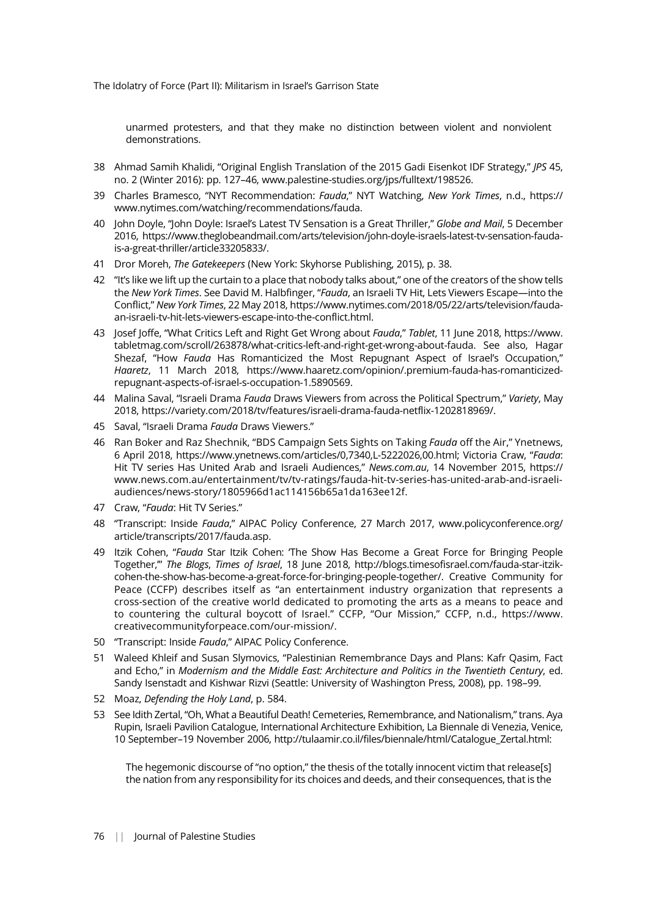unarmed protesters, and that they make no distinction between violent and nonviolent demonstrations.

- 38 Ahmad Samih Khalidi, "Original English Translation of the 2015 Gadi Eisenkot IDF Strategy," JPS 45, no. 2 (Winter 2016): pp. 127–46, www.palestine-studies.org/jps/fulltext/198526.
- 39 Charles Bramesco, "NYT Recommendation: Fauda," NYT Watching, New York Times, n.d., https:// www.nytimes.com/watching/recommendations/fauda.
- 40 John Doyle, "John Doyle: Israel's Latest TV Sensation is a Great Thriller," Globe and Mail, 5 December 2016, https://www.theglobeandmail.com/arts/television/john-doyle-israels-latest-tv-sensation-faudais-a-great-thriller/article33205833/.
- 41 Dror Moreh, The Gatekeepers (New York: Skyhorse Publishing, 2015), p. 38.
- 42 "It's like we lift up the curtain to a place that nobody talks about," one of the creators of the show tells the New York Times. See David M. Halbfinger, "Fauda, an Israeli TV Hit, Lets Viewers Escape—into the Conflict," New York Times, 22 May 2018, https://www.nytimes.com/2018/05/22/arts/television/faudaan-israeli-tv-hit-lets-viewers-escape-into-the-conflict.html.
- 43 Josef Joffe, "What Critics Left and Right Get Wrong about Fauda," Tablet, 11 June 2018, https://www. tabletmag.com/scroll/263878/what-critics-left-and-right-get-wrong-about-fauda. See also, Hagar Shezaf, "How Fauda Has Romanticized the Most Repugnant Aspect of Israel's Occupation," Haaretz, 11 March 2018, https://www.haaretz.com/opinion/.premium-fauda-has-romanticizedrepugnant-aspects-of-israel-s-occupation-1.5890569.
- 44 Malina Saval, "Israeli Drama Fauda Draws Viewers from across the Political Spectrum," Variety, May 2018, https://variety.com/2018/tv/features/israeli-drama-fauda-netflix-1202818969/.
- 45 Saval, "Israeli Drama Fauda Draws Viewers."
- 46 Ran Boker and Raz Shechnik, "BDS Campaign Sets Sights on Taking Fauda off the Air," Ynetnews, 6 April 2018, https://www.ynetnews.com/articles/0,7340,L-5222026,00.html; Victoria Craw, "Fauda: Hit TV series Has United Arab and Israeli Audiences," News.com.au, 14 November 2015, https:// www.news.com.au/entertainment/tv/tv-ratings/fauda-hit-tv-series-has-united-arab-and-israeliaudiences/news-story/1805966d1ac114156b65a1da163ee12f.
- 47 Craw, "Fauda: Hit TV Series."
- 48 "Transcript: Inside Fauda," AIPAC Policy Conference, 27 March 2017, www.policyconference.org/ article/transcripts/2017/fauda.asp.
- 49 Itzik Cohen, "Fauda Star Itzik Cohen: The Show Has Become a Great Force for Bringing People Together,'" The Blogs, Times of Israel, 18 June 2018, http://blogs.timesofisrael.com/fauda-star-itzikcohen-the-show-has-become-a-great-force-for-bringing-people-together/. Creative Community for Peace (CCFP) describes itself as "an entertainment industry organization that represents a cross-section of the creative world dedicated to promoting the arts as a means to peace and to countering the cultural boycott of Israel." CCFP, "Our Mission," CCFP, n.d., https://www. creativecommunityforpeace.com/our-mission/.
- 50 "Transcript: Inside Fauda," AIPAC Policy Conference.
- 51 Waleed Khleif and Susan Slymovics, "Palestinian Remembrance Days and Plans: Kafr Qasim, Fact and Echo," in Modernism and the Middle East: Architecture and Politics in the Twentieth Century, ed. Sandy Isenstadt and Kishwar Rizvi (Seattle: University of Washington Press, 2008), pp. 198–99.
- 52 Moaz, Defending the Holy Land, p. 584.
- 53 See Idith Zertal, "Oh, What a Beautiful Death! Cemeteries, Remembrance, and Nationalism," trans. Aya Rupin, Israeli Pavilion Catalogue, International Architecture Exhibition, La Biennale di Venezia, Venice, 10 September–19 November 2006, http://tulaamir.co.il/files/biennale/html/Catalogue\_Zertal.html:

The hegemonic discourse of "no option," the thesis of the totally innocent victim that release[s] the nation from any responsibility for its choices and deeds, and their consequences, that is the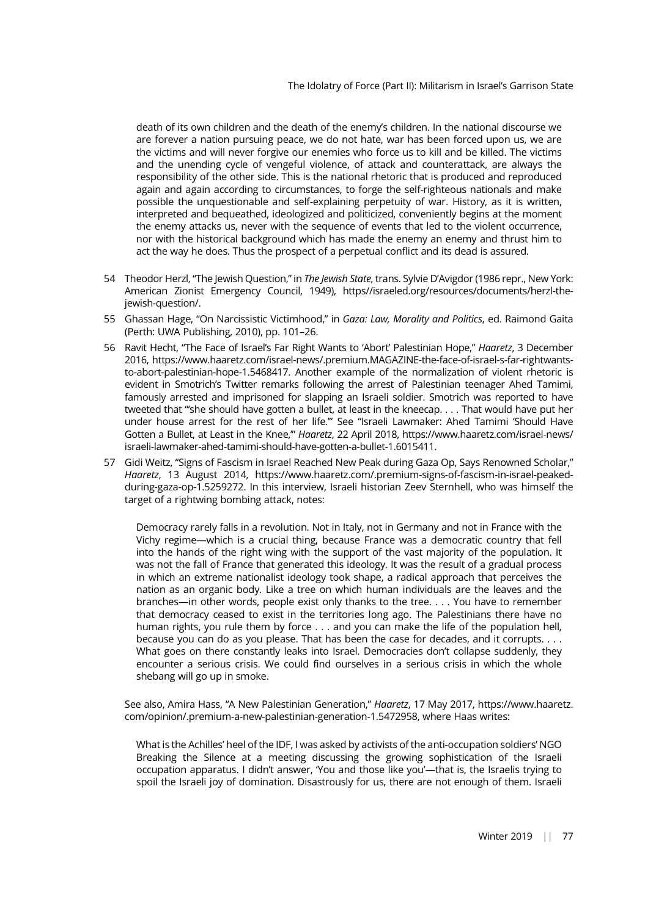death of its own children and the death of the enemy's children. In the national discourse we are forever a nation pursuing peace, we do not hate, war has been forced upon us, we are the victims and will never forgive our enemies who force us to kill and be killed. The victims and the unending cycle of vengeful violence, of attack and counterattack, are always the responsibility of the other side. This is the national rhetoric that is produced and reproduced again and again according to circumstances, to forge the self-righteous nationals and make possible the unquestionable and self-explaining perpetuity of war. History, as it is written, interpreted and bequeathed, ideologized and politicized, conveniently begins at the moment the enemy attacks us, never with the sequence of events that led to the violent occurrence, nor with the historical background which has made the enemy an enemy and thrust him to act the way he does. Thus the prospect of a perpetual conflict and its dead is assured.

- 54 Theodor Herzl, "The Jewish Question," in The Jewish State, trans. Sylvie D'Avigdor (1986 repr., New York: American Zionist Emergency Council, 1949), https//israeled.org/resources/documents/herzl-thejewish-question/.
- 55 Ghassan Hage, "On Narcissistic Victimhood," in Gaza: Law, Morality and Politics, ed. Raimond Gaita (Perth: UWA Publishing, 2010), pp. 101–26.
- 56 Ravit Hecht, "The Face of Israel's Far Right Wants to 'Abort' Palestinian Hope," Haaretz, 3 December 2016, https://www.haaretz.com/israel-news/.premium.MAGAZINE-the-face-of-israel-s-far-rightwantsto-abort-palestinian-hope-1.5468417. Another example of the normalization of violent rhetoric is evident in Smotrich's Twitter remarks following the arrest of Palestinian teenager Ahed Tamimi, famously arrested and imprisoned for slapping an Israeli soldier. Smotrich was reported to have tweeted that "'she should have gotten a bullet, at least in the kneecap. . . . That would have put her under house arrest for the rest of her life.'" See "Israeli Lawmaker: Ahed Tamimi 'Should Have Gotten a Bullet, at Least in the Knee,"" Haaretz, 22 April 2018, https://www.haaretz.com/israel-news/ israeli-lawmaker-ahed-tamimi-should-have-gotten-a-bullet-1.6015411.
- 57 Gidi Weitz, "Signs of Fascism in Israel Reached New Peak during Gaza Op, Says Renowned Scholar," Haaretz, 13 August 2014, https://www.haaretz.com/.premium-signs-of-fascism-in-israel-peakedduring-gaza-op-1.5259272. In this interview, Israeli historian Zeev Sternhell, who was himself the target of a rightwing bombing attack, notes:

Democracy rarely falls in a revolution. Not in Italy, not in Germany and not in France with the Vichy regime—which is a crucial thing, because France was a democratic country that fell into the hands of the right wing with the support of the vast majority of the population. It was not the fall of France that generated this ideology. It was the result of a gradual process in which an extreme nationalist ideology took shape, a radical approach that perceives the nation as an organic body. Like a tree on which human individuals are the leaves and the branches—in other words, people exist only thanks to the tree. . . . You have to remember that democracy ceased to exist in the territories long ago. The Palestinians there have no human rights, you rule them by force . . . and you can make the life of the population hell, because you can do as you please. That has been the case for decades, and it corrupts. . . . What goes on there constantly leaks into Israel. Democracies don't collapse suddenly, they encounter a serious crisis. We could find ourselves in a serious crisis in which the whole shebang will go up in smoke.

See also, Amira Hass, "A New Palestinian Generation," Haaretz, 17 May 2017, https://www.haaretz. com/opinion/.premium-a-new-palestinian-generation-1.5472958, where Haas writes:

What is the Achilles' heel of the IDF, I was asked by activists of the anti-occupation soldiers' NGO Breaking the Silence at a meeting discussing the growing sophistication of the Israeli occupation apparatus. I didn't answer, 'You and those like you'—that is, the Israelis trying to spoil the Israeli joy of domination. Disastrously for us, there are not enough of them. Israeli